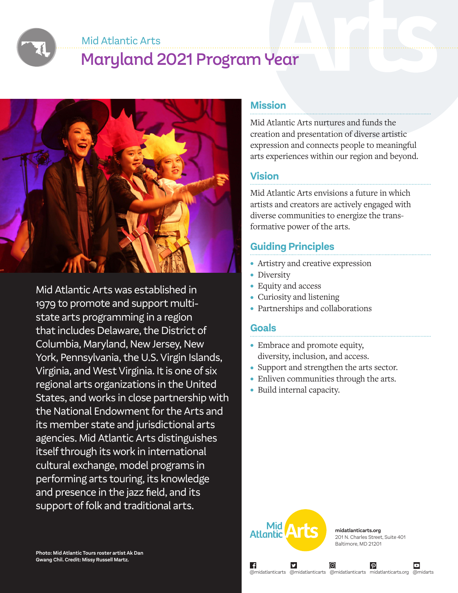Mid Atlantic Arts

# Maryland 2021 Program Year



Mid Atlantic Arts was established in 1979 to promote and support multistate arts programming in a region that includes Delaware, the District of Columbia, Maryland, New Jersey, New York, Pennsylvania, the U.S. Virgin Islands, Virginia, and West Virginia. It is one of six regional arts organizations in the United States, and works in close partnership with the National Endowment for the Arts and its member state and jurisdictional arts agencies. Mid Atlantic Arts distinguishes itself through its work in international cultural exchange, model programs in performing arts touring, its knowledge and presence in the jazz field, and its support of folk and traditional arts.

### **Mission**

Mid Atlantic Arts nurtures and funds the creation and presentation of diverse artistic expression and connects people to meaningful arts experiences within our region and beyond.

# **Vision**

Mid Atlantic Arts envisions a future in which artists and creators are actively engaged with diverse communities to energize the transformative power of the arts.

# **Guiding Principles**

- Artistry and creative expression
- Diversity
- Equity and access
- Curiosity and listening
- Partnerships and collaborations

# **Goals**

- Embrace and promote equity, diversity, inclusion, and access.
- Support and strengthen the arts sector.
- Enliven communities through the arts.
- Build internal capacity.



∣ f

**midatlanticarts.org** 201 N. Charles Street, Suite 401 Baltimore, MD 21201

 $\boldsymbol{\varphi}$ 

@midatlanticarts @midatlanticarts @midatlanticarts midatlanticarts.org @midarts

ල)

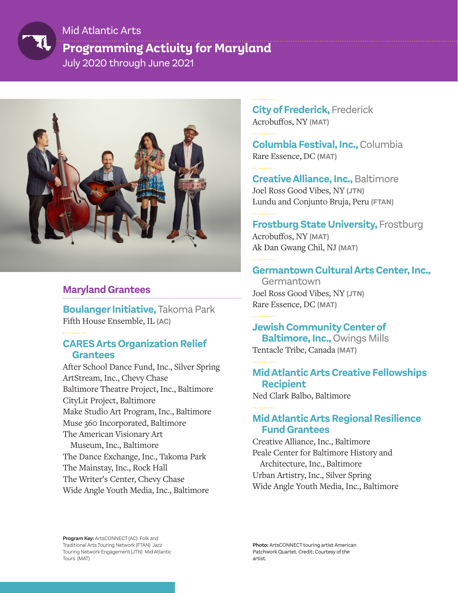

# **Programming Activity for Maryland** July 2020 through June 2021 Mid Atlantic Arts



# **Maryland Grantees**

**Boulanger Initiative,** Takoma Park Fifth House Ensemble, IL **(AC)**

#### **CARES Arts Organization Relief Grantees**

After School Dance Fund, Inc., Silver Spring ArtStream, Inc., Chevy Chase Baltimore Theatre Project, Inc., Baltimore CityLit Project, Baltimore Make Studio Art Program, Inc., Baltimore Muse 360 Incorporated, Baltimore The American Visionary Art Museum, Inc., Baltimore The Dance Exchange, Inc., Takoma Park The Mainstay, Inc., Rock Hall The Writer's Center, Chevy Chase Wide Angle Youth Media, Inc., Baltimore

. . . . . . . . . .

**City of Frederick,** Frederick Acrobuffos, NY **(MAT)**

**Columbia Festival, Inc.,** Columbia Rare Essence, DC **(MAT)**

**Creative Alliance, Inc.,** Baltimore Joel Ross Good Vibes, NY **(JTN)** Lundu and Conjunto Bruja, Peru **(FTAN)**

# **Frostburg State University, Frostburg** Acrobuffos, NY **(MAT)**

Ak Dan Gwang Chil, NJ **(MAT)**

# **Germantown Cultural Arts Center, Inc.,**

Germantown Joel Ross Good Vibes, NY **(JTN)** Rare Essence, DC **(MAT)**

# **Jewish Community Center of**

 **Baltimore, Inc.,** Owings Mills Tentacle Tribe, Canada **(MAT)**

# **Mid Atlantic Arts Creative Fellowships Recipient**

Ned Clark Balbo, Baltimore

# **Mid Atlantic Arts Regional Resilience Fund Grantees**

Creative Alliance, Inc., Baltimore Peale Center for Baltimore History and Architecture, Inc., Baltimore Urban Artistry, Inc., Silver Spring Wide Angle Youth Media, Inc., Baltimore

**Program Key:** ArtsCONNECT (AC) Folk and Traditional Arts Touring Network (FTAN) Jazz Touring Network Engagement (JTN) Mid Atlantic Tours (MAT)

**Photo:** ArtsCONNECT touring artist American Patchwork Quartet. Credit: Courtesy of the artist.